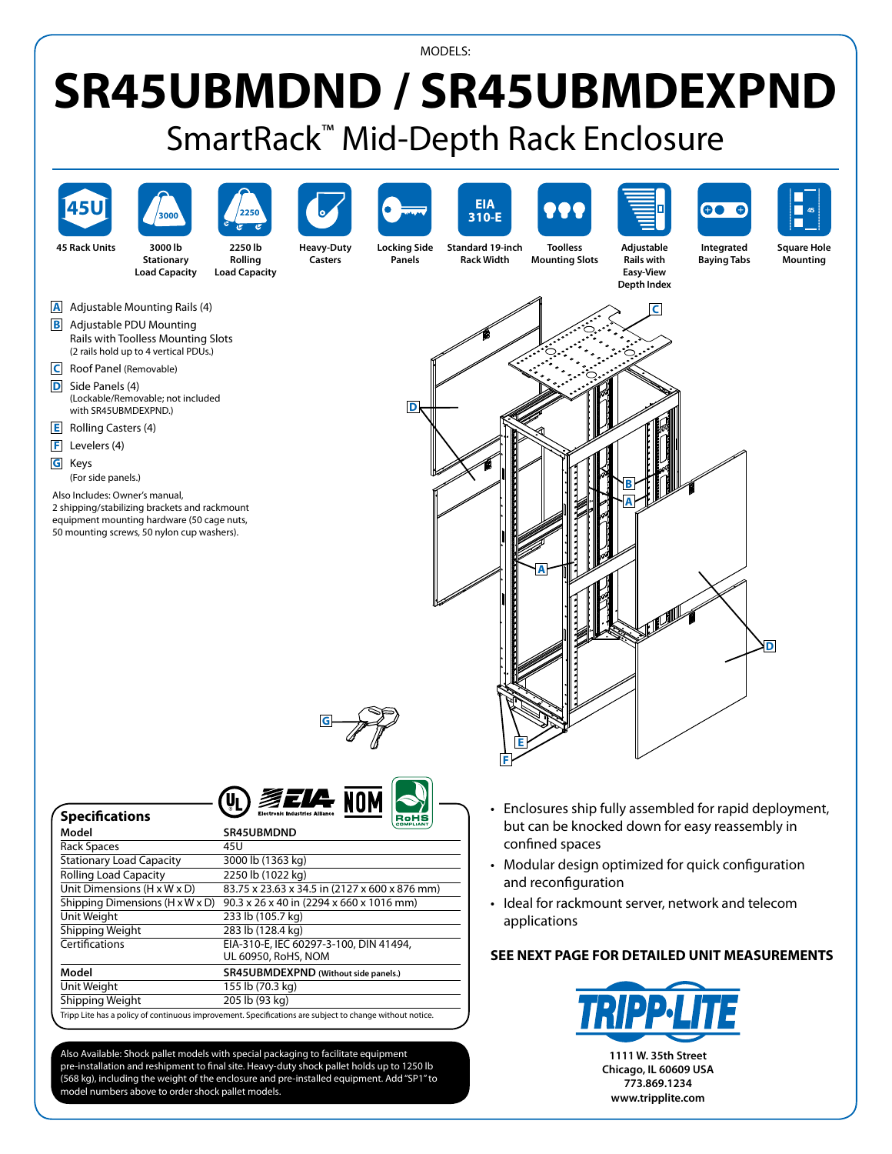## MODELS:

## **SR45UBMDND / SR45UBMDEXPND** SmartRack™ Mid-Depth Rack Enclosure



Also Available: Shock pallet models with special packaging to facilitate equipment pre-installation and reshipment to final site. Heavy-duty shock pallet holds up to 1250 lb (568 kg), including the weight of the enclosure and pre-installed equipment. Add"SP1"to model numbers above to order shock pallet models.

Tripp Lite has a policy of continuous improvement. Specifications are subject to change without notice.

**1111 W. 35th Street Chicago, IL 60609 USA 773.869.1234 www.tripplite.com**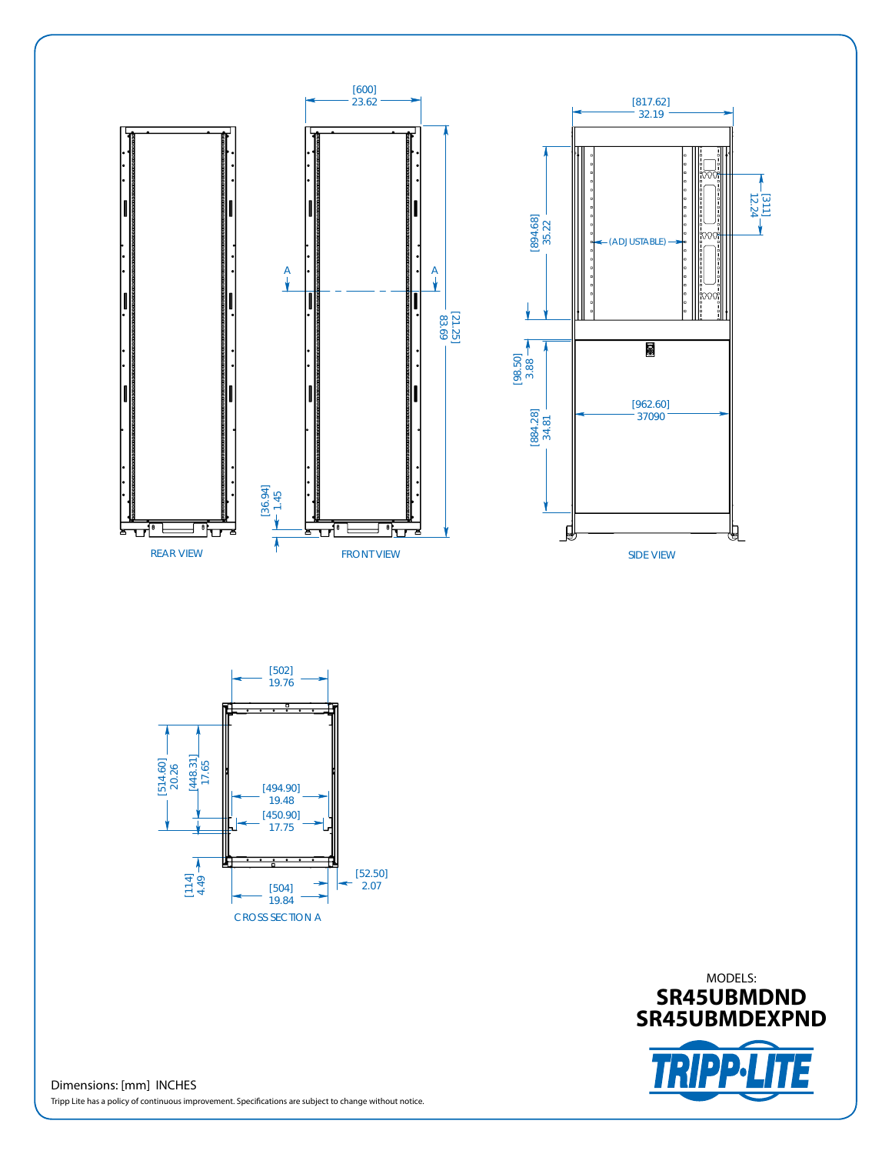







Dimensions: [mm] INCHES Tripp Lite has a policy of continuous improvement. Specifications are subject to change without notice.